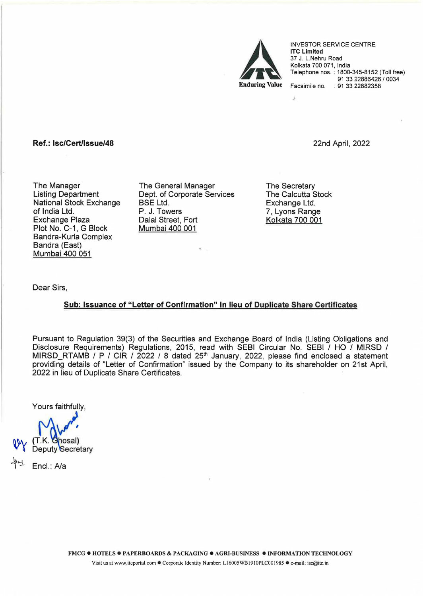

INVESTOR SERVICE CENTRE lTC Limited 37 J. L.Nehru Road Kolkata 700 071, India Telephone nos. : 1800-345-8152 (Toll free) 91 33 22886426 / 0034 Facsimile no. : 91 33 22882358

Ref.: lsc/Cert/lssue/48

22nd April, 2022

The Manager Listing Department National Stock Exchange of India Ltd. Exchange Plaza Plot No. C-1, G Block Bandra-Kurla Complex Bandra (East) Mumbai 400 051

The General Manager Dept. of Corporate Services BSE Ltd. P. J. Towers Dalal Street, Fort Mumbai 400 001

The Secretary The Calcutta Stock Exchange Ltd. 7, Lyons Range Kolkata 700 001

·'

Dear Sirs,

## Sub: Issuance of "Letter of Confirmation" in lieu of Duplicate Share Certificates

Pursuant to Regulation 39(3) of the Securities and Exchange Board of India (Listing Obligations and Disclosure Requirements) Regulations, 2015, read with SEBI Circular No. SEBI / HO / MIRSD / MIRSD\_RTAMB / P / CIR / 2022 / 8 dated 25<sup>th</sup> January, 2022, please find enclosed a statement providing details of "Letter of Confirmation" issued by the Company to its shareholder on 21st April, 2022 in lieu of Duplicate Share Certificates.

Yours faithfully,

T.K. Ghosal)

Deputy Secretary

Encl.: A/a